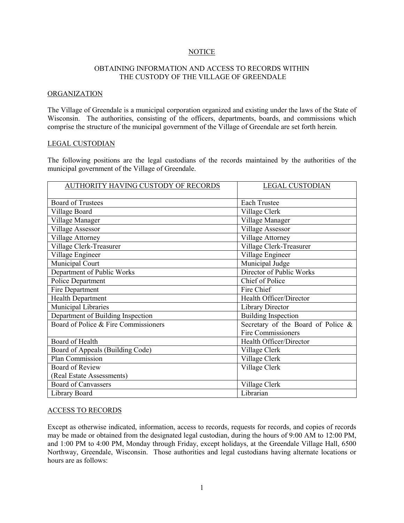# **NOTICE**

## OBTAINING INFORMATION AND ACCESS TO RECORDS WITHIN THE CUSTODY OF THE VILLAGE OF GREENDALE

#### ORGANIZATION

The Village of Greendale is a municipal corporation organized and existing under the laws of the State of Wisconsin. The authorities, consisting of the officers, departments, boards, and commissions which comprise the structure of the municipal government of the Village of Greendale are set forth herein.

### LEGAL CUSTODIAN

The following positions are the legal custodians of the records maintained by the authorities of the municipal government of the Village of Greendale.

| AUTHORITY HAVING CUSTODY OF RECORDS  | <b>LEGAL CUSTODIAN</b>                                   |
|--------------------------------------|----------------------------------------------------------|
|                                      |                                                          |
| <b>Board of Trustees</b>             | <b>Each Trustee</b>                                      |
| Village Board                        | Village Clerk                                            |
| Village Manager                      | Village Manager                                          |
| <b>Village Assessor</b>              | <b>Village Assessor</b>                                  |
| <b>Village Attorney</b>              | Village Attorney                                         |
| Village Clerk-Treasurer              | Village Clerk-Treasurer                                  |
| Village Engineer                     | Village Engineer                                         |
| Municipal Court                      | Municipal Judge                                          |
| Department of Public Works           | Director of Public Works                                 |
| Police Department                    | Chief of Police                                          |
| Fire Department                      | Fire Chief                                               |
| <b>Health Department</b>             | Health Officer/Director                                  |
| Municipal Libraries                  | <b>Library Director</b>                                  |
| Department of Building Inspection    | <b>Building Inspection</b>                               |
| Board of Police & Fire Commissioners | Secretary of the Board of Police &<br>Fire Commissioners |
| Board of Health                      | Health Officer/Director                                  |
| Board of Appeals (Building Code)     | Village Clerk                                            |
| Plan Commission                      | Village Clerk                                            |
| <b>Board of Review</b>               | Village Clerk                                            |
| (Real Estate Assessments)            |                                                          |
| <b>Board of Canvassers</b>           | Village Clerk                                            |
| Library Board                        | Librarian                                                |

### ACCESS TO RECORDS

Except as otherwise indicated, information, access to records, requests for records, and copies of records may be made or obtained from the designated legal custodian, during the hours of 9:00 AM to 12:00 PM, and 1:00 PM to 4:00 PM, Monday through Friday, except holidays, at the Greendale Village Hall, 6500 Northway, Greendale, Wisconsin. Those authorities and legal custodians having alternate locations or hours are as follows: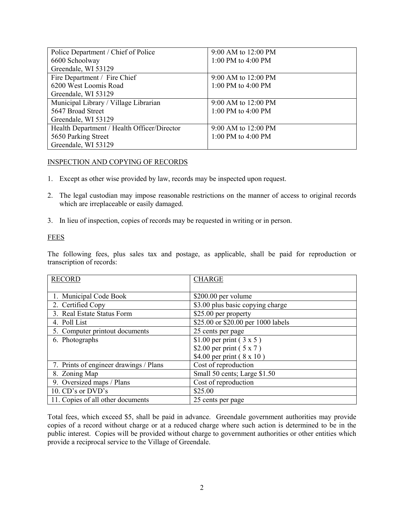| Police Department / Chief of Police         | 9:00 AM to 12:00 PM   |
|---------------------------------------------|-----------------------|
| 6600 Schoolway                              | 1:00 PM to 4:00 PM    |
| Greendale, WI 53129                         |                       |
| Fire Department / Fire Chief                | $9:00$ AM to 12:00 PM |
| 6200 West Loomis Road                       | 1:00 PM to 4:00 PM    |
| Greendale, WI 53129                         |                       |
| Municipal Library / Village Librarian       | 9:00 AM to 12:00 PM   |
| 5647 Broad Street                           | 1:00 PM to 4:00 PM    |
| Greendale, WI 53129                         |                       |
| Health Department / Health Officer/Director | 9:00 AM to 12:00 PM   |
| 5650 Parking Street                         | 1:00 PM to 4:00 PM    |
| Greendale, WI 53129                         |                       |

# INSPECTION AND COPYING OF RECORDS

- 1. Except as other wise provided by law, records may be inspected upon request.
- 2. The legal custodian may impose reasonable restrictions on the manner of access to original records which are irreplaceable or easily damaged.
- 3. In lieu of inspection, copies of records may be requested in writing or in person.

## FEES

The following fees, plus sales tax and postage, as applicable, shall be paid for reproduction or transcription of records:

| <b>RECORD</b>                          | <b>CHARGE</b>                      |
|----------------------------------------|------------------------------------|
|                                        |                                    |
| 1. Municipal Code Book                 | \$200.00 per volume                |
| 2. Certified Copy                      | \$3.00 plus basic copying charge   |
| 3. Real Estate Status Form             | \$25.00 per property               |
| 4. Poll List                           | \$25.00 or \$20.00 per 1000 labels |
| 5. Computer printout documents         | 25 cents per page                  |
| 6. Photographs                         | \$1.00 per print $(3 \times 5)$    |
|                                        | \$2.00 per print $(5 x 7)$         |
|                                        | \$4.00 per print (8 x 10)          |
| 7. Prints of engineer drawings / Plans | Cost of reproduction               |
| 8. Zoning Map                          | Small 50 cents; Large \$1.50       |
| 9. Oversized maps / Plans              | Cost of reproduction               |
| 10. CD's or DVD's                      | \$25.00                            |
| 11. Copies of all other documents      | 25 cents per page                  |

Total fees, which exceed \$5, shall be paid in advance. Greendale government authorities may provide copies of a record without charge or at a reduced charge where such action is determined to be in the public interest. Copies will be provided without charge to government authorities or other entities which provide a reciprocal service to the Village of Greendale.